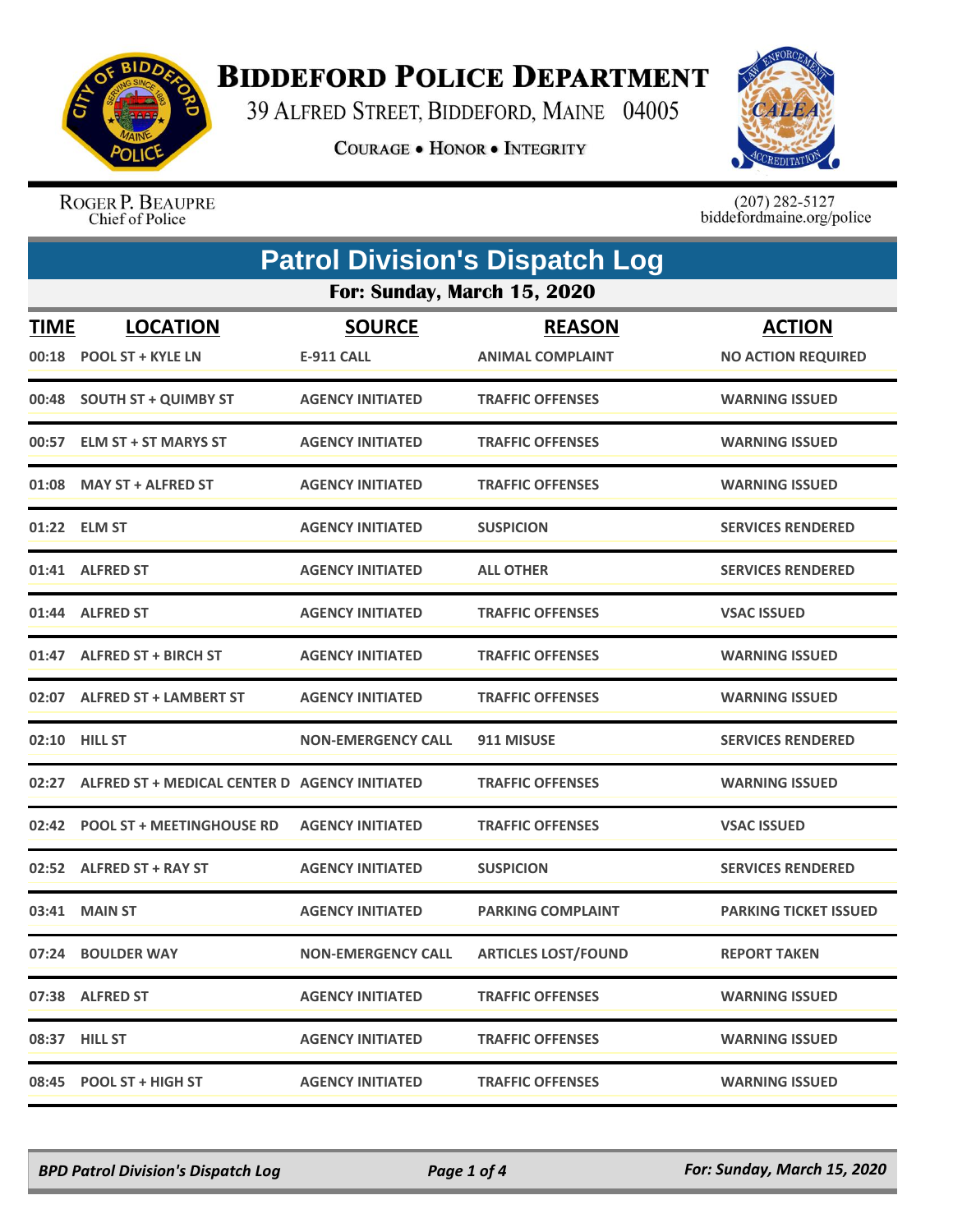

## **BIDDEFORD POLICE DEPARTMENT**

39 ALFRED STREET, BIDDEFORD, MAINE 04005

**COURAGE . HONOR . INTEGRITY** 



ROGER P. BEAUPRE<br>Chief of Police

 $(207)$  282-5127<br>biddefordmaine.org/police

| <b>Patrol Division's Dispatch Log</b> |                                               |                           |                            |                              |  |  |
|---------------------------------------|-----------------------------------------------|---------------------------|----------------------------|------------------------------|--|--|
|                                       | For: Sunday, March 15, 2020                   |                           |                            |                              |  |  |
| <b>TIME</b>                           | <b>LOCATION</b>                               | <b>SOURCE</b>             | <b>REASON</b>              | <b>ACTION</b>                |  |  |
|                                       | 00:18 POOL ST + KYLE LN                       | <b>E-911 CALL</b>         | <b>ANIMAL COMPLAINT</b>    | <b>NO ACTION REQUIRED</b>    |  |  |
|                                       | 00:48 SOUTH ST + QUIMBY ST                    | <b>AGENCY INITIATED</b>   | <b>TRAFFIC OFFENSES</b>    | <b>WARNING ISSUED</b>        |  |  |
|                                       | 00:57 ELM ST + ST MARYS ST                    | <b>AGENCY INITIATED</b>   | <b>TRAFFIC OFFENSES</b>    | <b>WARNING ISSUED</b>        |  |  |
| 01:08                                 | <b>MAY ST + ALFRED ST</b>                     | <b>AGENCY INITIATED</b>   | <b>TRAFFIC OFFENSES</b>    | <b>WARNING ISSUED</b>        |  |  |
|                                       | 01:22 ELM ST                                  | <b>AGENCY INITIATED</b>   | <b>SUSPICION</b>           | <b>SERVICES RENDERED</b>     |  |  |
|                                       | 01:41 ALFRED ST                               | <b>AGENCY INITIATED</b>   | <b>ALL OTHER</b>           | <b>SERVICES RENDERED</b>     |  |  |
|                                       | 01:44 ALFRED ST                               | <b>AGENCY INITIATED</b>   | <b>TRAFFIC OFFENSES</b>    | <b>VSAC ISSUED</b>           |  |  |
|                                       | 01:47 ALFRED ST + BIRCH ST                    | <b>AGENCY INITIATED</b>   | <b>TRAFFIC OFFENSES</b>    | <b>WARNING ISSUED</b>        |  |  |
|                                       | 02:07 ALFRED ST + LAMBERT ST                  | <b>AGENCY INITIATED</b>   | <b>TRAFFIC OFFENSES</b>    | <b>WARNING ISSUED</b>        |  |  |
|                                       | 02:10 HILL ST                                 | <b>NON-EMERGENCY CALL</b> | 911 MISUSE                 | <b>SERVICES RENDERED</b>     |  |  |
| 02:27                                 | ALFRED ST + MEDICAL CENTER D AGENCY INITIATED |                           | <b>TRAFFIC OFFENSES</b>    | <b>WARNING ISSUED</b>        |  |  |
|                                       | 02:42 POOL ST + MEETINGHOUSE RD               | <b>AGENCY INITIATED</b>   | <b>TRAFFIC OFFENSES</b>    | <b>VSAC ISSUED</b>           |  |  |
|                                       | 02:52 ALFRED ST + RAY ST                      | <b>AGENCY INITIATED</b>   | <b>SUSPICION</b>           | <b>SERVICES RENDERED</b>     |  |  |
|                                       | 03:41 MAIN ST                                 | <b>AGENCY INITIATED</b>   | <b>PARKING COMPLAINT</b>   | <b>PARKING TICKET ISSUED</b> |  |  |
|                                       | 07:24 BOULDER WAY                             | <b>NON-EMERGENCY CALL</b> | <b>ARTICLES LOST/FOUND</b> | <b>REPORT TAKEN</b>          |  |  |
|                                       | 07:38 ALFRED ST                               | <b>AGENCY INITIATED</b>   | <b>TRAFFIC OFFENSES</b>    | <b>WARNING ISSUED</b>        |  |  |
|                                       | 08:37 HILL ST                                 | <b>AGENCY INITIATED</b>   | <b>TRAFFIC OFFENSES</b>    | <b>WARNING ISSUED</b>        |  |  |
|                                       | 08:45 POOL ST + HIGH ST                       | <b>AGENCY INITIATED</b>   | <b>TRAFFIC OFFENSES</b>    | <b>WARNING ISSUED</b>        |  |  |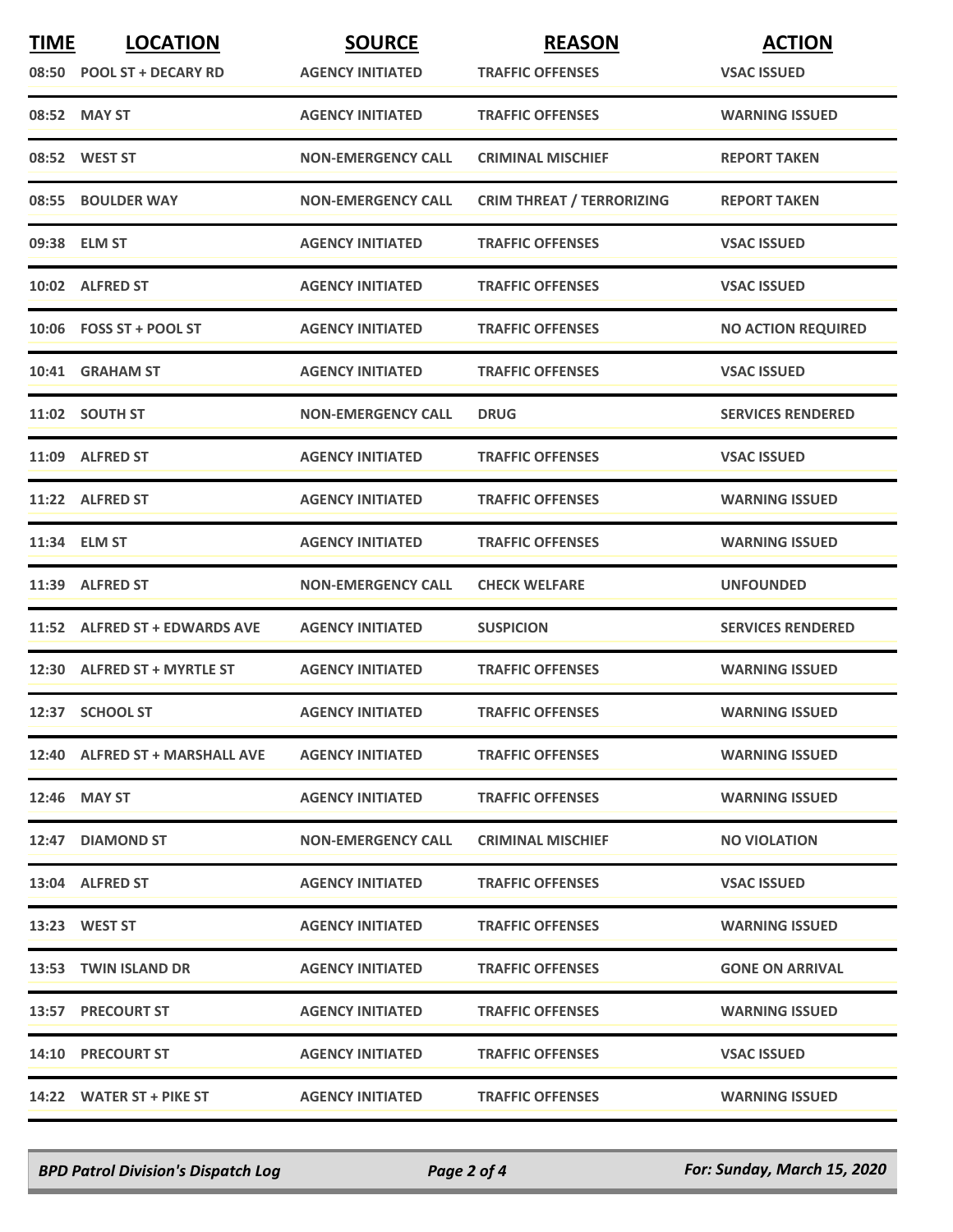| <b>TIME</b> | <b>LOCATION</b>                | <b>SOURCE</b>             | <b>REASON</b>                    | <b>ACTION</b>             |
|-------------|--------------------------------|---------------------------|----------------------------------|---------------------------|
|             | 08:50 POOL ST + DECARY RD      | <b>AGENCY INITIATED</b>   | <b>TRAFFIC OFFENSES</b>          | <b>VSAC ISSUED</b>        |
|             | 08:52 MAY ST                   | <b>AGENCY INITIATED</b>   | <b>TRAFFIC OFFENSES</b>          | <b>WARNING ISSUED</b>     |
|             | 08:52 WEST ST                  | <b>NON-EMERGENCY CALL</b> | <b>CRIMINAL MISCHIEF</b>         | <b>REPORT TAKEN</b>       |
|             | 08:55 BOULDER WAY              | <b>NON-EMERGENCY CALL</b> | <b>CRIM THREAT / TERRORIZING</b> | <b>REPORT TAKEN</b>       |
|             | 09:38 ELM ST                   | <b>AGENCY INITIATED</b>   | <b>TRAFFIC OFFENSES</b>          | <b>VSAC ISSUED</b>        |
|             | 10:02 ALFRED ST                | <b>AGENCY INITIATED</b>   | <b>TRAFFIC OFFENSES</b>          | <b>VSAC ISSUED</b>        |
|             | $10:06$ FOSS ST + POOL ST      | <b>AGENCY INITIATED</b>   | <b>TRAFFIC OFFENSES</b>          | <b>NO ACTION REQUIRED</b> |
|             | 10:41 GRAHAM ST                | <b>AGENCY INITIATED</b>   | <b>TRAFFIC OFFENSES</b>          | <b>VSAC ISSUED</b>        |
|             | 11:02 SOUTH ST                 | <b>NON-EMERGENCY CALL</b> | <b>DRUG</b>                      | <b>SERVICES RENDERED</b>  |
|             | 11:09 ALFRED ST                | <b>AGENCY INITIATED</b>   | <b>TRAFFIC OFFENSES</b>          | <b>VSAC ISSUED</b>        |
|             | 11:22 ALFRED ST                | <b>AGENCY INITIATED</b>   | <b>TRAFFIC OFFENSES</b>          | <b>WARNING ISSUED</b>     |
|             | 11:34 ELM ST                   | <b>AGENCY INITIATED</b>   | <b>TRAFFIC OFFENSES</b>          | <b>WARNING ISSUED</b>     |
|             | 11:39 ALFRED ST                | <b>NON-EMERGENCY CALL</b> | <b>CHECK WELFARE</b>             | <b>UNFOUNDED</b>          |
|             | 11:52 ALFRED ST + EDWARDS AVE  | <b>AGENCY INITIATED</b>   | <b>SUSPICION</b>                 | <b>SERVICES RENDERED</b>  |
|             | 12:30 ALFRED ST + MYRTLE ST    | <b>AGENCY INITIATED</b>   | <b>TRAFFIC OFFENSES</b>          | <b>WARNING ISSUED</b>     |
|             | 12:37 SCHOOL ST                | <b>AGENCY INITIATED</b>   | <b>TRAFFIC OFFENSES</b>          | <b>WARNING ISSUED</b>     |
|             | 12:40 ALFRED ST + MARSHALL AVE | <b>AGENCY INITIATED</b>   | <b>TRAFFIC OFFENSES</b>          | <b>WARNING ISSUED</b>     |
|             | 12:46 MAY ST                   | <b>AGENCY INITIATED</b>   | <b>TRAFFIC OFFENSES</b>          | <b>WARNING ISSUED</b>     |
|             | 12:47 DIAMOND ST               | <b>NON-EMERGENCY CALL</b> | <b>CRIMINAL MISCHIEF</b>         | <b>NO VIOLATION</b>       |
|             | 13:04 ALFRED ST                | <b>AGENCY INITIATED</b>   | <b>TRAFFIC OFFENSES</b>          | <b>VSAC ISSUED</b>        |
|             | 13:23 WEST ST                  | <b>AGENCY INITIATED</b>   | <b>TRAFFIC OFFENSES</b>          | <b>WARNING ISSUED</b>     |
|             | 13:53 TWIN ISLAND DR           | <b>AGENCY INITIATED</b>   | <b>TRAFFIC OFFENSES</b>          | <b>GONE ON ARRIVAL</b>    |
|             | 13:57 PRECOURT ST              | <b>AGENCY INITIATED</b>   | <b>TRAFFIC OFFENSES</b>          | <b>WARNING ISSUED</b>     |
|             | 14:10 PRECOURT ST              | <b>AGENCY INITIATED</b>   | <b>TRAFFIC OFFENSES</b>          | <b>VSAC ISSUED</b>        |
|             | 14:22 WATER ST + PIKE ST       | <b>AGENCY INITIATED</b>   | <b>TRAFFIC OFFENSES</b>          | <b>WARNING ISSUED</b>     |

*BPD Patrol Division's Dispatch Log Page 2 of 4 For: Sunday, March 15, 2020*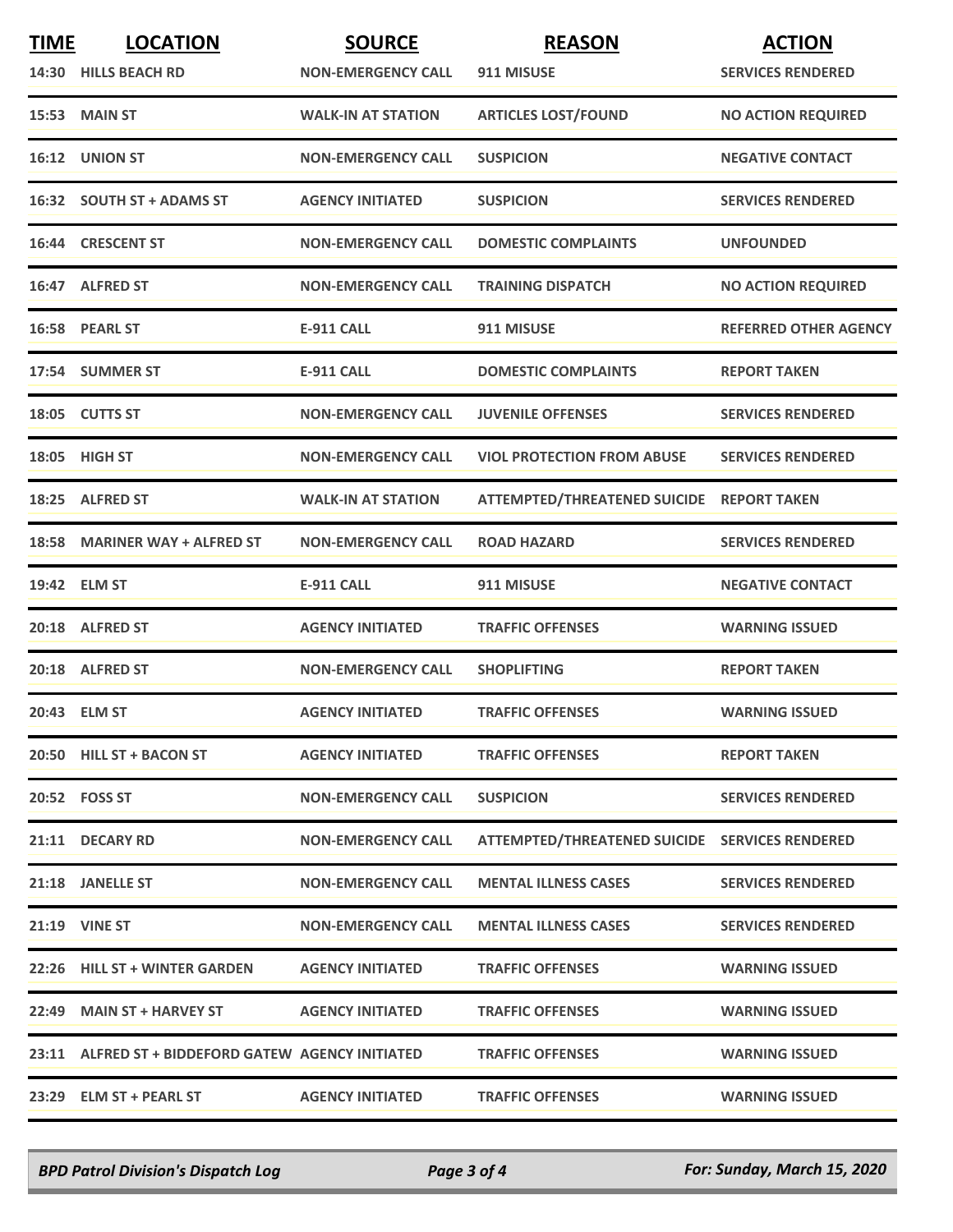| <b>TIME</b> | <b>LOCATION</b>                                    | <b>SOURCE</b>             | <b>REASON</b>                                  | <b>ACTION</b>                |
|-------------|----------------------------------------------------|---------------------------|------------------------------------------------|------------------------------|
|             | 14:30 HILLS BEACH RD                               | <b>NON-EMERGENCY CALL</b> | 911 MISUSE                                     | <b>SERVICES RENDERED</b>     |
|             | 15:53 MAIN ST                                      | <b>WALK-IN AT STATION</b> | <b>ARTICLES LOST/FOUND</b>                     | <b>NO ACTION REQUIRED</b>    |
| 16:12       | <b>UNION ST</b>                                    | <b>NON-EMERGENCY CALL</b> | <b>SUSPICION</b>                               | <b>NEGATIVE CONTACT</b>      |
|             | 16:32 SOUTH ST + ADAMS ST                          | <b>AGENCY INITIATED</b>   | <b>SUSPICION</b>                               | <b>SERVICES RENDERED</b>     |
|             | 16:44 CRESCENT ST                                  | <b>NON-EMERGENCY CALL</b> | <b>DOMESTIC COMPLAINTS</b>                     | <b>UNFOUNDED</b>             |
|             | 16:47 ALFRED ST                                    | <b>NON-EMERGENCY CALL</b> | <b>TRAINING DISPATCH</b>                       | <b>NO ACTION REQUIRED</b>    |
|             | 16:58 PEARL ST                                     | <b>E-911 CALL</b>         | 911 MISUSE                                     | <b>REFERRED OTHER AGENCY</b> |
|             | 17:54 SUMMER ST                                    | <b>E-911 CALL</b>         | <b>DOMESTIC COMPLAINTS</b>                     | <b>REPORT TAKEN</b>          |
|             | 18:05 CUTTS ST                                     | <b>NON-EMERGENCY CALL</b> | <b>JUVENILE OFFENSES</b>                       | <b>SERVICES RENDERED</b>     |
| 18:05       | HIGH ST                                            | <b>NON-EMERGENCY CALL</b> | <b>VIOL PROTECTION FROM ABUSE</b>              | <b>SERVICES RENDERED</b>     |
|             | 18:25 ALFRED ST                                    | <b>WALK-IN AT STATION</b> | ATTEMPTED/THREATENED SUICIDE REPORT TAKEN      |                              |
|             | 18:58 MARINER WAY + ALFRED ST                      | <b>NON-EMERGENCY CALL</b> | <b>ROAD HAZARD</b>                             | <b>SERVICES RENDERED</b>     |
|             | 19:42 ELM ST                                       | <b>E-911 CALL</b>         | 911 MISUSE                                     | <b>NEGATIVE CONTACT</b>      |
|             | 20:18 ALFRED ST                                    | <b>AGENCY INITIATED</b>   | <b>TRAFFIC OFFENSES</b>                        | <b>WARNING ISSUED</b>        |
|             | 20:18 ALFRED ST                                    | <b>NON-EMERGENCY CALL</b> | <b>SHOPLIFTING</b>                             | <b>REPORT TAKEN</b>          |
|             | 20:43 ELM ST                                       | <b>AGENCY INITIATED</b>   | <b>TRAFFIC OFFENSES</b>                        | <b>WARNING ISSUED</b>        |
|             | 20:50 HILL ST + BACON ST                           | <b>AGENCY INITIATED</b>   | <b>TRAFFIC OFFENSES</b>                        | <b>REPORT TAKEN</b>          |
|             | 20:52 FOSS ST                                      | <b>NON-EMERGENCY CALL</b> | <b>SUSPICION</b>                               | <b>SERVICES RENDERED</b>     |
|             | 21:11 DECARY RD                                    | <b>NON-EMERGENCY CALL</b> | ATTEMPTED/THREATENED SUICIDE SERVICES RENDERED |                              |
|             | 21:18 JANELLE ST                                   | <b>NON-EMERGENCY CALL</b> | <b>MENTAL ILLNESS CASES</b>                    | <b>SERVICES RENDERED</b>     |
|             | <b>21:19 VINE ST</b>                               | <b>NON-EMERGENCY CALL</b> | <b>MENTAL ILLNESS CASES</b>                    | <b>SERVICES RENDERED</b>     |
|             | 22:26 HILL ST + WINTER GARDEN                      | <b>AGENCY INITIATED</b>   | <b>TRAFFIC OFFENSES</b>                        | <b>WARNING ISSUED</b>        |
|             | 22:49 MAIN ST + HARVEY ST                          | <b>AGENCY INITIATED</b>   | <b>TRAFFIC OFFENSES</b>                        | <b>WARNING ISSUED</b>        |
|             | 23:11 ALFRED ST + BIDDEFORD GATEW AGENCY INITIATED |                           | <b>TRAFFIC OFFENSES</b>                        | <b>WARNING ISSUED</b>        |
|             | 23:29 ELM ST + PEARL ST                            | <b>AGENCY INITIATED</b>   | <b>TRAFFIC OFFENSES</b>                        | <b>WARNING ISSUED</b>        |

*BPD Patrol Division's Dispatch Log Page 3 of 4 For: Sunday, March 15, 2020*